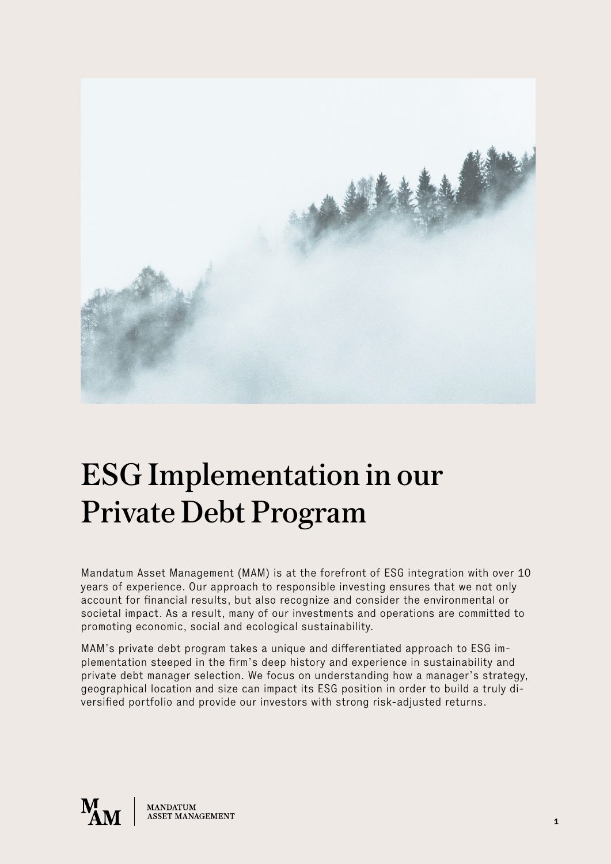

# ESG Implementation in our Private Debt Program

Mandatum Asset Management (MAM) is at the forefront of ESG integration with over 10 years of experience. Our approach to responsible investing ensures that we not only account for financial results, but also recognize and consider the environmental or societal impact. As a result, many of our investments and operations are committed to promoting economic, social and ecological sustainability.

MAM's private debt program takes a unique and differentiated approach to ESG implementation steeped in the firm's deep history and experience in sustainability and private debt manager selection. We focus on understanding how a manager's strategy, geographical location and size can impact its ESG position in order to build a truly diversified portfolio and provide our investors with strong risk-adjusted returns.

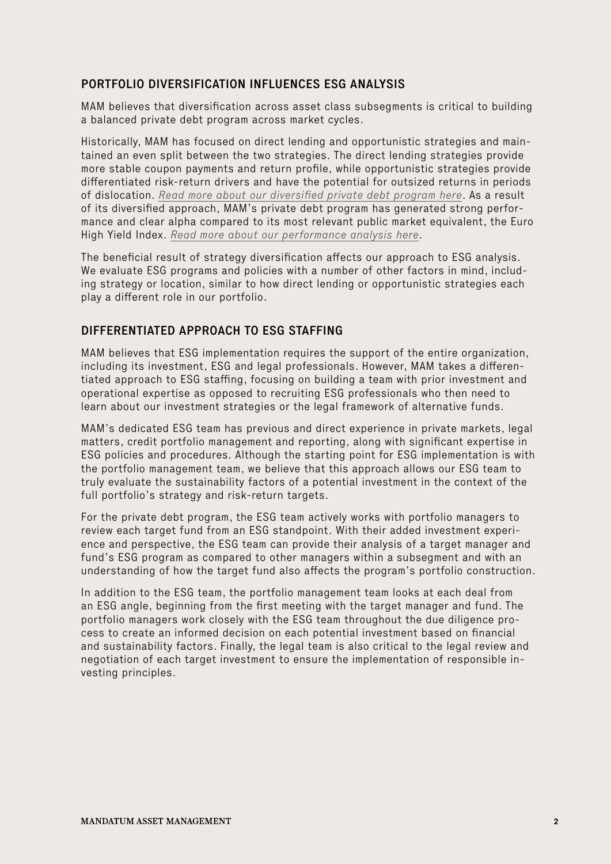## PORTFOLIO DIVERSIFICATION INFLUENCES ESG ANALYSIS

MAM believes that diversification across asset class subsegments is critical to building a balanced private debt program across market cycles.

Historically, MAM has focused on direct lending and opportunistic strategies and maintained an even split between the two strategies. The direct lending strategies provide more stable coupon payments and return profile, while opportunistic strategies provide differentiated risk-return drivers and have the potential for outsized returns in periods of dislocation. *[Read more about our diversified private debt program here](https://www.mandatumam.com/news-and-insights/insights/diversified-private-debt-program-as-a-tool-for-countercyclical-investing/)*. As a result of its diversified approach, MAM's private debt program has generated strong performance and clear alpha compared to its most relevant public market equivalent, the Euro High Yield Index. *[Read more about our performance analysis here](https://www.mandatumam.com/news-and-insights/insights/case-study-mandatum-am-private-debt-program-vs.-eur-high-yield/)*.

The beneficial result of strategy diversification affects our approach to ESG analysis. We evaluate ESG programs and policies with a number of other factors in mind, including strategy or location, similar to how direct lending or opportunistic strategies each play a different role in our portfolio.

## DIFFERENTIATED APPROACH TO ESG STAFFING

MAM believes that ESG implementation requires the support of the entire organization, including its investment, ESG and legal professionals. However, MAM takes a differentiated approach to ESG staffing, focusing on building a team with prior investment and operational expertise as opposed to recruiting ESG professionals who then need to learn about our investment strategies or the legal framework of alternative funds.

MAM's dedicated ESG team has previous and direct experience in private markets, legal matters, credit portfolio management and reporting, along with significant expertise in ESG policies and procedures. Although the starting point for ESG implementation is with the portfolio management team, we believe that this approach allows our ESG team to truly evaluate the sustainability factors of a potential investment in the context of the full portfolio's strategy and risk-return targets.

For the private debt program, the ESG team actively works with portfolio managers to review each target fund from an ESG standpoint. With their added investment experience and perspective, the ESG team can provide their analysis of a target manager and fund's ESG program as compared to other managers within a subsegment and with an understanding of how the target fund also affects the program's portfolio construction.

In addition to the ESG team, the portfolio management team looks at each deal from an ESG angle, beginning from the first meeting with the target manager and fund. The portfolio managers work closely with the ESG team throughout the due diligence process to create an informed decision on each potential investment based on financial and sustainability factors. Finally, the legal team is also critical to the legal review and negotiation of each target investment to ensure the implementation of responsible investing principles.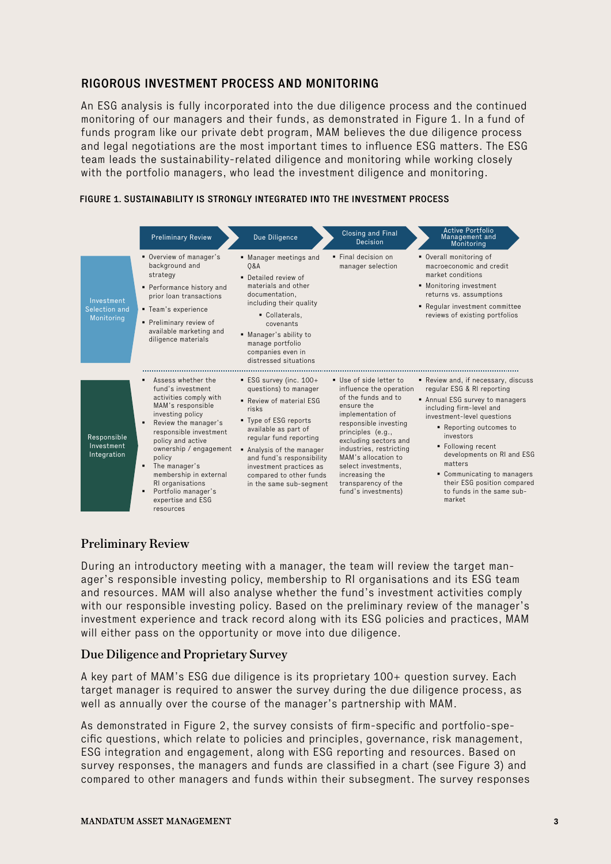#### RIGOROUS INVESTMENT PROCESS AND MONITORING

An ESG analysis is fully incorporated into the due diligence process and the continued monitoring of our managers and their funds, as demonstrated in Figure 1. In a fund of funds program like our private debt program, MAM believes the due diligence process and legal negotiations are the most important times to influence ESG matters. The ESG team leads the sustainability-related diligence and monitoring while working closely with the portfolio managers, who lead the investment diligence and monitoring.

|                                           | <b>Preliminary Review</b>                                                                                                                                                                                                                                                                                                                                                 | Due Diligence                                                                                                                                                                                                                                                                                         | Closing and Final<br>Decision                                                                                                                                                                                                                                                                                              | Active Portfolio<br>Management and<br>Monitoring                                                                                                                                                                                                                                                                                                                     |
|-------------------------------------------|---------------------------------------------------------------------------------------------------------------------------------------------------------------------------------------------------------------------------------------------------------------------------------------------------------------------------------------------------------------------------|-------------------------------------------------------------------------------------------------------------------------------------------------------------------------------------------------------------------------------------------------------------------------------------------------------|----------------------------------------------------------------------------------------------------------------------------------------------------------------------------------------------------------------------------------------------------------------------------------------------------------------------------|----------------------------------------------------------------------------------------------------------------------------------------------------------------------------------------------------------------------------------------------------------------------------------------------------------------------------------------------------------------------|
| Investment<br>Selection and<br>Monitoring | Overview of manager's<br>background and<br>strategy<br>• Performance history and<br>prior loan transactions<br>■ Team's experience<br>Preliminary review of<br>available marketing and<br>diligence materials                                                                                                                                                             | • Manager meetings and<br>0&A<br>• Detailed review of<br>materials and other<br>documentation,<br>including their quality<br>Collaterals,<br>covenants<br>■ Manager's ability to<br>manage portfolio<br>companies even in<br>distressed situations                                                    | • Final decision on<br>manager selection                                                                                                                                                                                                                                                                                   | • Overall monitoring of<br>macroeconomic and credit<br>market conditions<br>• Monitoring investment<br>returns vs. assumptions<br>■ Reqular investment committee<br>reviews of existing portfolios                                                                                                                                                                   |
| Responsible<br>Investment<br>Integration  | Assess whether the<br>fund's investment<br>activities comply with<br>MAM's responsible<br>investing policy<br>Review the manager's<br>٠<br>responsible investment<br>policy and active<br>ownership / engagement<br>policy<br>The manager's<br>$\blacksquare$<br>membership in external<br>RI organisations<br>Portfolio manager's<br>٠<br>expertise and ESG<br>resources | ESG survey (inc. 100+<br>questions) to manager<br>Review of material ESG<br>risks<br>■ Type of ESG reports<br>available as part of<br>regular fund reporting<br>Analysis of the manager<br>and fund's responsibility<br>investment practices as<br>compared to other funds<br>in the same sub-segment | Use of side letter to<br>influence the operation<br>of the funds and to<br>ensure the<br>implementation of<br>responsible investing<br>principles (e.g.,<br>excluding sectors and<br>industries, restricting<br>MAM's allocation to<br>select investments,<br>increasing the<br>transparency of the<br>fund's investments) | Review and, if necessary, discuss<br>regular ESG & RI reporting<br>Annual ESG survey to managers<br>including firm-level and<br>investment-level questions<br>Reporting outcomes to<br>investors<br>■ Following recent<br>developments on RI and ESG<br>matters<br>• Communicating to managers<br>their ESG position compared<br>to funds in the same sub-<br>market |

#### FIGURE 1. SUSTAINABILITY IS STRONGLY INTEGRATED INTO THE INVESTMENT PROCESS

#### Preliminary Review

During an introductory meeting with a manager, the team will review the target manager's responsible investing policy, membership to RI organisations and its ESG team and resources. MAM will also analyse whether the fund's investment activities comply with our responsible investing policy. Based on the preliminary review of the manager's investment experience and track record along with its ESG policies and practices, MAM will either pass on the opportunity or move into due diligence.

#### Due Diligence and Proprietary Survey

A key part of MAM's ESG due diligence is its proprietary 100+ question survey. Each target manager is required to answer the survey during the due diligence process, as well as annually over the course of the manager's partnership with MAM.

As demonstrated in Figure 2, the survey consists of firm-specific and portfolio-specific questions, which relate to policies and principles, governance, risk management, ESG integration and engagement, along with ESG reporting and resources. Based on survey responses, the managers and funds are classified in a chart (see Figure 3) and compared to other managers and funds within their subsegment. The survey responses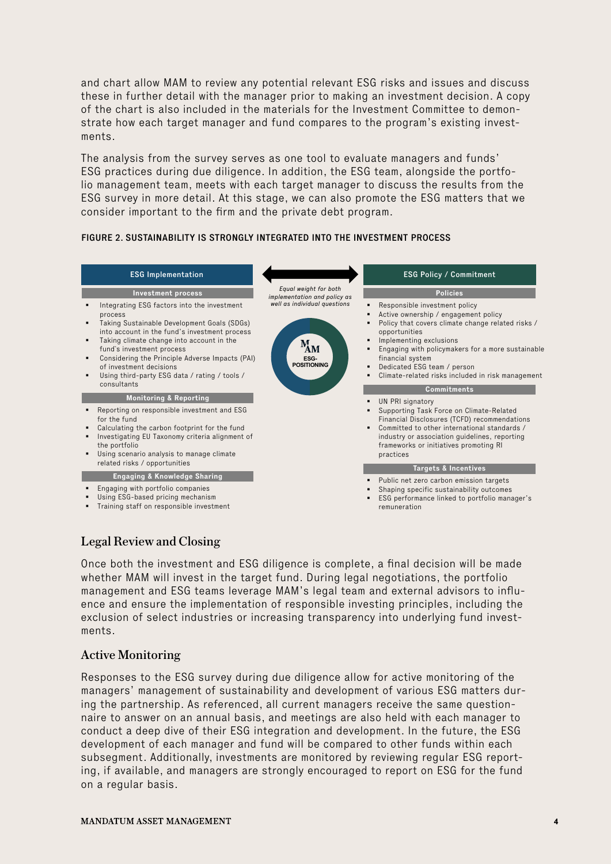and chart allow MAM to review any potential relevant ESG risks and issues and discuss these in further detail with the manager prior to making an investment decision. A copy of the chart is also included in the materials for the Investment Committee to demonstrate how each target manager and fund compares to the program's existing investments.

The analysis from the survey serves as one tool to evaluate managers and funds' ESG practices during due diligence. In addition, the ESG team, alongside the portfolio management team, meets with each target manager to discuss the results from the ESG survey in more detail. At this stage, we can also promote the ESG matters that we consider important to the firm and the private debt program.

#### FIGURE 2. SUSTAINABILITY IS STRONGLY INTEGRATED INTO THE INVESTMENT PROCESS



# Legal Review and Closing

Once both the investment and ESG diligence is complete, a final decision will be made whether MAM will invest in the target fund. During legal negotiations, the portfolio management and ESG teams leverage MAM's legal team and external advisors to influence and ensure the implementation of responsible investing principles, including the exclusion of select industries or increasing transparency into underlying fund investments.

#### Active Monitoring

Responses to the ESG survey during due diligence allow for active monitoring of the managers' management of sustainability and development of various ESG matters during the partnership. As referenced, all current managers receive the same questionnaire to answer on an annual basis, and meetings are also held with each manager to conduct a deep dive of their ESG integration and development. In the future, the ESG development of each manager and fund will be compared to other funds within each subsegment. Additionally, investments are monitored by reviewing regular ESG reporting, if available, and managers are strongly encouraged to report on ESG for the fund on a regular basis.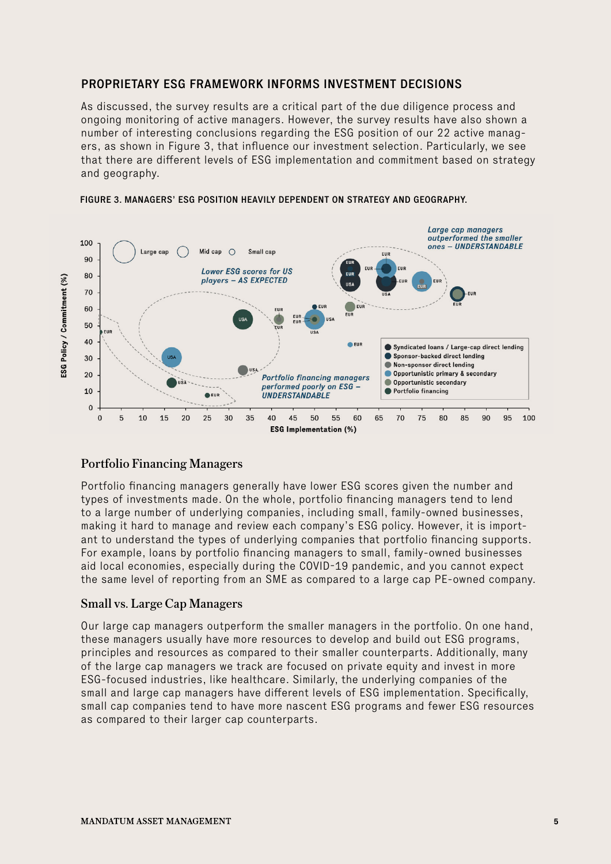#### PROPRIETARY ESG FRAMEWORK INFORMS INVESTMENT DECISIONS

As discussed, the survey results are a critical part of the due diligence process and ongoing monitoring of active managers. However, the survey results have also shown a number of interesting conclusions regarding the ESG position of our 22 active managers, as shown in Figure 3, that influence our investment selection. Particularly, we see that there are different levels of ESG implementation and commitment based on strategy and geography.





#### Portfolio Financing Managers

Portfolio financing managers generally have lower ESG scores given the number and types of investments made. On the whole, portfolio financing managers tend to lend to a large number of underlying companies, including small, family-owned businesses, making it hard to manage and review each company's ESG policy. However, it is important to understand the types of underlying companies that portfolio financing supports. For example, loans by portfolio financing managers to small, family-owned businesses aid local economies, especially during the COVID-19 pandemic, and you cannot expect the same level of reporting from an SME as compared to a large cap PE-owned company.

#### Small vs. Large Cap Managers

Our large cap managers outperform the smaller managers in the portfolio. On one hand, these managers usually have more resources to develop and build out ESG programs, principles and resources as compared to their smaller counterparts. Additionally, many of the large cap managers we track are focused on private equity and invest in more ESG-focused industries, like healthcare. Similarly, the underlying companies of the small and large cap managers have different levels of ESG implementation. Specifically, small cap companies tend to have more nascent ESG programs and fewer ESG resources as compared to their larger cap counterparts.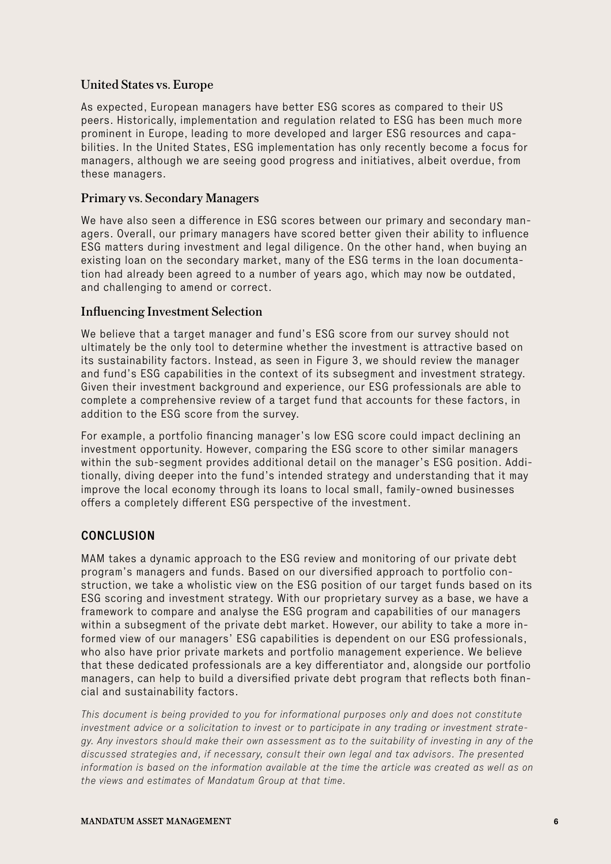#### United States vs. Europe

As expected, European managers have better ESG scores as compared to their US peers. Historically, implementation and regulation related to ESG has been much more prominent in Europe, leading to more developed and larger ESG resources and capabilities. In the United States, ESG implementation has only recently become a focus for managers, although we are seeing good progress and initiatives, albeit overdue, from these managers.

#### Primary vs. Secondary Managers

We have also seen a difference in ESG scores between our primary and secondary managers. Overall, our primary managers have scored better given their ability to influence ESG matters during investment and legal diligence. On the other hand, when buying an existing loan on the secondary market, many of the ESG terms in the loan documentation had already been agreed to a number of years ago, which may now be outdated, and challenging to amend or correct.

#### Influencing Investment Selection

We believe that a target manager and fund's ESG score from our survey should not ultimately be the only tool to determine whether the investment is attractive based on its sustainability factors. Instead, as seen in Figure 3, we should review the manager and fund's ESG capabilities in the context of its subsegment and investment strategy. Given their investment background and experience, our ESG professionals are able to complete a comprehensive review of a target fund that accounts for these factors, in addition to the ESG score from the survey.

For example, a portfolio financing manager's low ESG score could impact declining an investment opportunity. However, comparing the ESG score to other similar managers within the sub-segment provides additional detail on the manager's ESG position. Additionally, diving deeper into the fund's intended strategy and understanding that it may improve the local economy through its loans to local small, family-owned businesses offers a completely different ESG perspective of the investment.

#### **CONCLUSION**

MAM takes a dynamic approach to the ESG review and monitoring of our private debt program's managers and funds. Based on our diversified approach to portfolio construction, we take a wholistic view on the ESG position of our target funds based on its ESG scoring and investment strategy. With our proprietary survey as a base, we have a framework to compare and analyse the ESG program and capabilities of our managers within a subsegment of the private debt market. However, our ability to take a more informed view of our managers' ESG capabilities is dependent on our ESG professionals, who also have prior private markets and portfolio management experience. We believe that these dedicated professionals are a key differentiator and, alongside our portfolio managers, can help to build a diversified private debt program that reflects both financial and sustainability factors.

*This document is being provided to you for informational purposes only and does not constitute investment advice or a solicitation to invest or to participate in any trading or investment strategy. Any investors should make their own assessment as to the suitability of investing in any of the discussed strategies and, if necessary, consult their own legal and tax advisors. The presented information is based on the information available at the time the article was created as well as on the views and estimates of Mandatum Group at that time.*